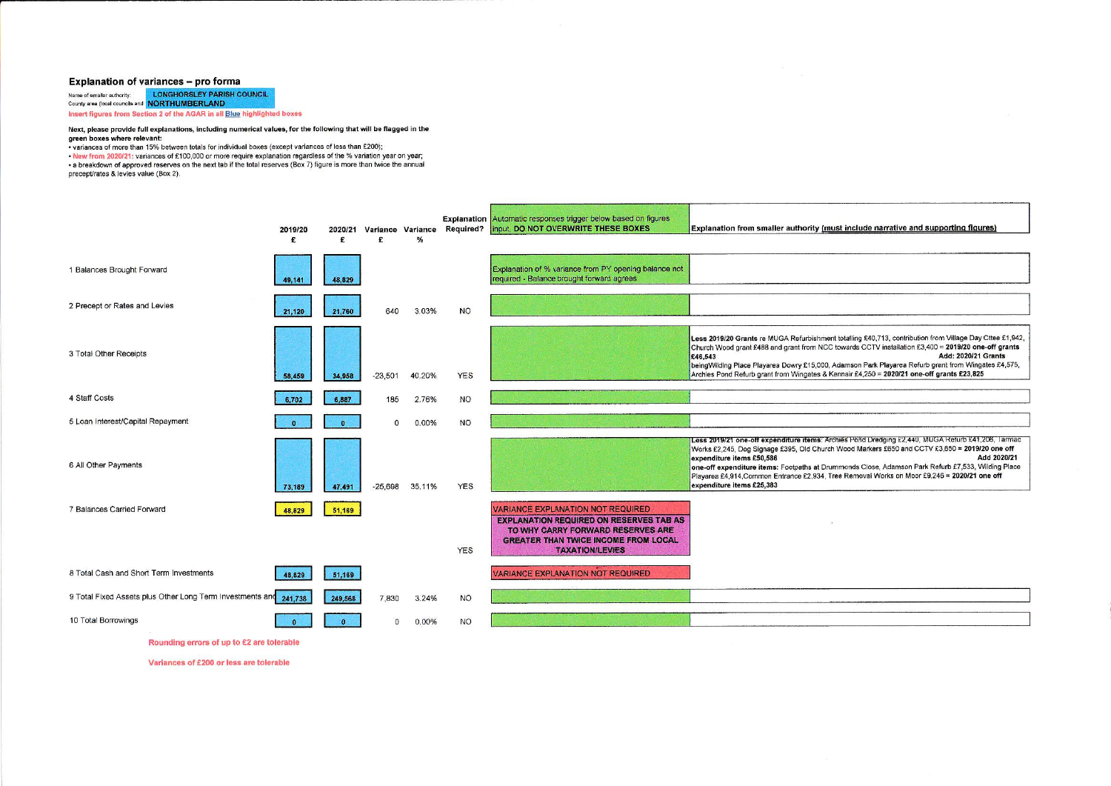## Explanation of variances - pro forma

Name of smaller authority: LONGHORSLEY PARISH COUNCIL County area (local councils and **NORTHUMBERLAND** Insert figures from Section 2 of the AGAR in all Blue highlighted boxes

## Next, please provide full explanations, including numerical values, for the following that will be flagged in the green boxes where relevant:

. variances of more than 15% between totals for individual boxes (except variances of less than £200);

- New from 2020/21: variances of £100,000 or more require explanation regardless of the % variation year on year;<br>- Alew from 2020/21: variances of £100,000 or more require explanation regardless of the % variation year on precept/rates & levies value (Box 2).

|                                                          | 2019/20<br>£ | 2020/21<br>£ | Variance Variance<br>£ | %      |            | Explanation Automatic responses trigger below based on figures<br>Required?   input, DO NOT OVERWRITE THESE BOXES                                                                                        | Explanation from smaller authority (must include narrative and supporting figures)                                                                                                                                                                                                                                                                                                                                                                                                 |
|----------------------------------------------------------|--------------|--------------|------------------------|--------|------------|----------------------------------------------------------------------------------------------------------------------------------------------------------------------------------------------------------|------------------------------------------------------------------------------------------------------------------------------------------------------------------------------------------------------------------------------------------------------------------------------------------------------------------------------------------------------------------------------------------------------------------------------------------------------------------------------------|
| 1 Balances Brought Forward                               | 49,141       | 48,829       |                        |        |            | Explanation of % variance from PY opening balance not<br>required - Balance brought forward agrees                                                                                                       |                                                                                                                                                                                                                                                                                                                                                                                                                                                                                    |
| 2 Precept or Rates and Levies                            | 21,120       | 21,760       | 640                    | 3.03%  | <b>NO</b>  |                                                                                                                                                                                                          |                                                                                                                                                                                                                                                                                                                                                                                                                                                                                    |
| 3 Total Other Receipts                                   | 58,459       | 34,958       | $-23.501$              | 40.20% | <b>YES</b> |                                                                                                                                                                                                          | Less 2019/20 Grants re MUGA Refurbishment totalling £40,713, contribution from Village Day Cttee £1,942,<br>Church Wood grant £488 and grant from NCC towards CCTV installation £3,400 = 2019/20 one-off grants<br>Add: 2020/21 Grants<br>£46,543<br>being Wilding Place Playarea Dowry £15,000, Adamson Park Playarea Refurb grant from Wingates £4,575,<br>Archies Pond Refurb grant from Wingates & Kennair £4,250 = 2020/21 one-off grants £23,825                             |
| 4 Staff Costs                                            | 6,702        | 6,887        | 185                    | 2.76%  | <b>NO</b>  |                                                                                                                                                                                                          |                                                                                                                                                                                                                                                                                                                                                                                                                                                                                    |
| 5 Loan Interest/Capital Repayment                        |              |              | $\Omega$               | 0.00%  | <b>NO</b>  |                                                                                                                                                                                                          |                                                                                                                                                                                                                                                                                                                                                                                                                                                                                    |
| 6 All Other Payments                                     | 73,189       | 47,491       | $-25,698$              | 35.11% | <b>YES</b> |                                                                                                                                                                                                          | Less 2019/21 one-off expenditure items: Archies Pond Dredging £2,440, MUGA Refurb £41,206, Tarmac<br>Works £2,245, Dog Signage £395, Old Church Wood Markers £650 and CCTV £3,650 = 2019/20 one off<br>Add 2020/21<br>expenditure items £50,586<br>one-off expenditure items: Footpaths at Drummonds Close, Adamson Park Refurb £7,533, Wilding Place<br>Playarea £4,914, Common Entrance £2,934, Tree Removal Works on Moor £9,246 = 2020/21 one off<br>expenditure items £25,383 |
| 7 Balances Carried Forward                               | 48,829       | 51,169       |                        |        | <b>YES</b> | <b>VARIANCE EXPLANATION NOT REQUIRED</b><br><b>EXPLANATION REQUIRED ON RESERVES TAB AS</b><br>TO WHY CARRY FORWARD RESERVES ARE<br><b>GREATER THAN TWICE INCOME FROM LOCAL</b><br><b>TAXATION/LEVIES</b> |                                                                                                                                                                                                                                                                                                                                                                                                                                                                                    |
| 8 Total Cash and Short Term Investments                  | 48,829       | 51,169       |                        |        |            | <b>VARIANCE EXPLANATION NOT REQUIRED</b>                                                                                                                                                                 |                                                                                                                                                                                                                                                                                                                                                                                                                                                                                    |
| 9 Total Fixed Assets plus Other Long Term Investments ar | 241,738      | 249,568      | 7,830                  | 3.24%  | <b>NO</b>  |                                                                                                                                                                                                          |                                                                                                                                                                                                                                                                                                                                                                                                                                                                                    |
| 10 Total Borrowings                                      |              |              | n.                     | 0.00%  | <b>NO</b>  |                                                                                                                                                                                                          |                                                                                                                                                                                                                                                                                                                                                                                                                                                                                    |

Rounding errors of up to £2 are tolerable

Variances of £200 or less are tolerable